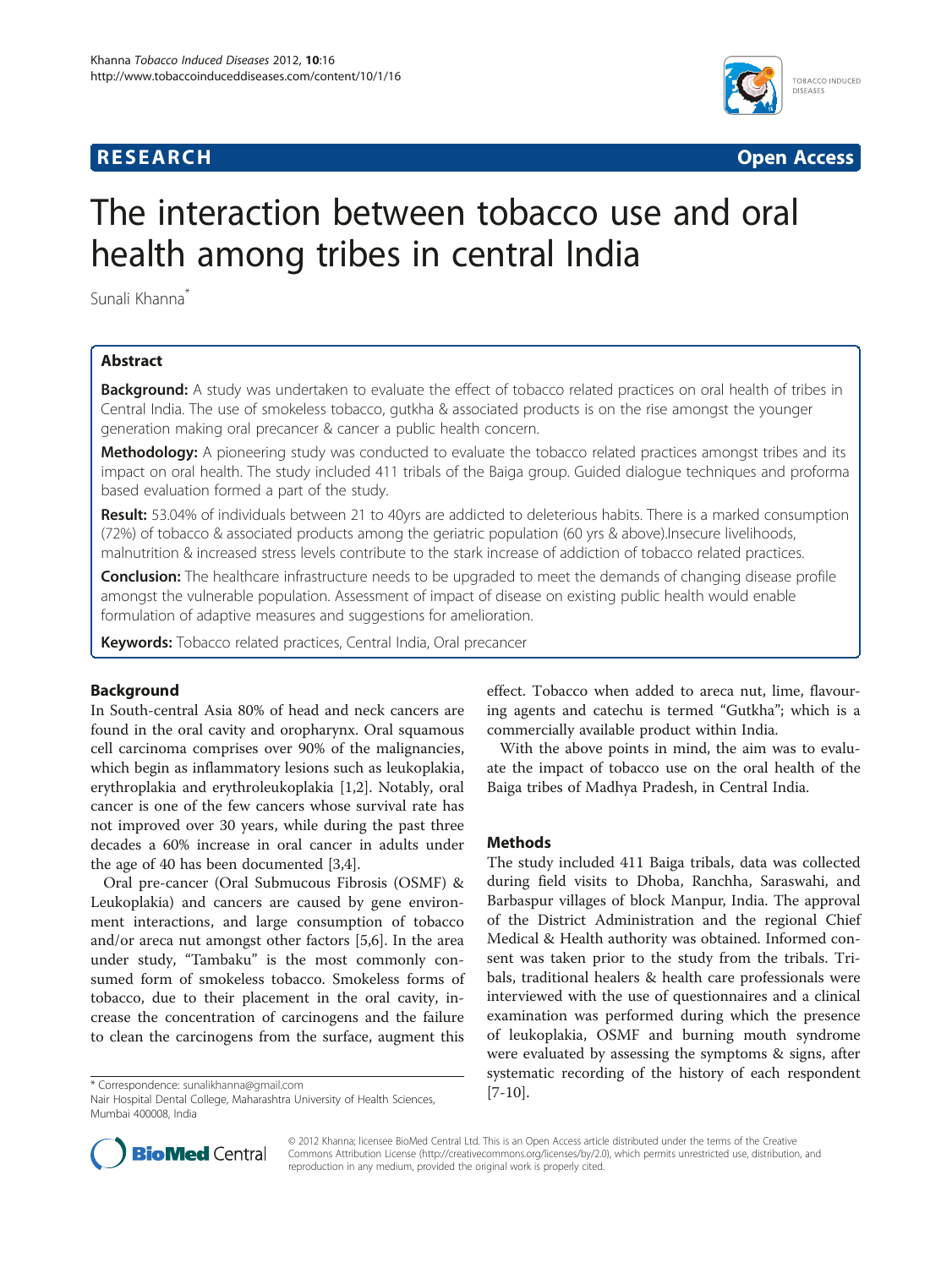# **RESEARCH RESEARCH** *CHECKER CHECKER CHECKER CHECKER CHECKER CHECKER CHECKER CHECKER CHECKER CHECKER CHECKER*



# The interaction between tobacco use and oral health among tribes in central India

Sunali Khanna\*

# Abstract

Background: A study was undertaken to evaluate the effect of tobacco related practices on oral health of tribes in Central India. The use of smokeless tobacco, gutkha & associated products is on the rise amongst the younger generation making oral precancer & cancer a public health concern.

Methodology: A pioneering study was conducted to evaluate the tobacco related practices amongst tribes and its impact on oral health. The study included 411 tribals of the Baiga group. Guided dialogue techniques and proforma based evaluation formed a part of the study.

Result: 53.04% of individuals between 21 to 40yrs are addicted to deleterious habits. There is a marked consumption (72%) of tobacco & associated products among the geriatric population (60 yrs & above).Insecure livelihoods, malnutrition & increased stress levels contribute to the stark increase of addiction of tobacco related practices.

**Conclusion:** The healthcare infrastructure needs to be upgraded to meet the demands of changing disease profile amongst the vulnerable population. Assessment of impact of disease on existing public health would enable formulation of adaptive measures and suggestions for amelioration.

Keywords: Tobacco related practices, Central India, Oral precancer

# Background

In South-central Asia 80% of head and neck cancers are found in the oral cavity and oropharynx. Oral squamous cell carcinoma comprises over 90% of the malignancies, which begin as inflammatory lesions such as leukoplakia, erythroplakia and erythroleukoplakia [[1,2\]](#page-1-0). Notably, oral cancer is one of the few cancers whose survival rate has not improved over 30 years, while during the past three decades a 60% increase in oral cancer in adults under the age of 40 has been documented [\[3,4](#page-1-0)].

Oral pre-cancer (Oral Submucous Fibrosis (OSMF) & Leukoplakia) and cancers are caused by gene environment interactions, and large consumption of tobacco and/or areca nut amongst other factors [\[5,6](#page-1-0)]. In the area under study, "Tambaku" is the most commonly consumed form of smokeless tobacco. Smokeless forms of tobacco, due to their placement in the oral cavity, increase the concentration of carcinogens and the failure to clean the carcinogens from the surface, augment this

effect. Tobacco when added to areca nut, lime, flavouring agents and catechu is termed "Gutkha"; which is a commercially available product within India.

With the above points in mind, the aim was to evaluate the impact of tobacco use on the oral health of the Baiga tribes of Madhya Pradesh, in Central India.

# **Methods**

The study included 411 Baiga tribals, data was collected during field visits to Dhoba, Ranchha, Saraswahi, and Barbaspur villages of block Manpur, India. The approval of the District Administration and the regional Chief Medical & Health authority was obtained. Informed consent was taken prior to the study from the tribals. Tribals, traditional healers & health care professionals were interviewed with the use of questionnaires and a clinical examination was performed during which the presence of leukoplakia, OSMF and burning mouth syndrome were evaluated by assessing the symptoms & signs, after systematic recording of the history of each respondent



© 2012 Khanna; licensee BioMed Central Ltd. This is an Open Access article distributed under the terms of the Creative Commons Attribution License [\(http://creativecommons.org/licenses/by/2.0\)](http://creativecommons.org/licenses/by/2.0), which permits unrestricted use, distribution, and reproduction in any medium, provided the original work is properly cited.

<sup>[</sup>[7-10](#page-1-0)]. \* Correspondence: [sunalikhanna@gmail.com](mailto:sunalikhanna@gmail.com) Nair Hospital Dental College, Maharashtra University of Health Sciences, Mumbai 400008, India